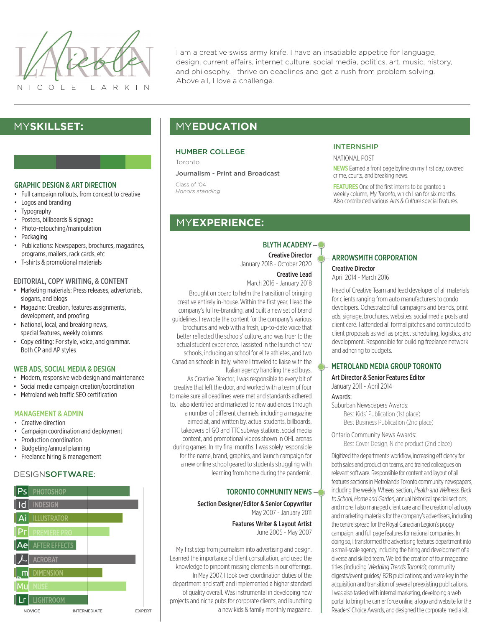

I am a creative swiss army knife. I have an insatiable appetite for language, design, current affairs, internet culture, social media, politics, art, music, history, and philosophy. I thrive on deadlines and get a rush from problem solving. Above all, I love a challenge.

# MY**SKILLSET:**

### GRAPHIC DESIGN & ART DIRECTION

- Full campaign rollouts, from concept to creative
- Logos and branding
- **Typography**
- Posters, billboards & signage
- Photo-retouching/manipulation
- Packaging
- Publications: Newspapers, brochures, magazines, programs, mailers, rack cards, etc
- T-shirts & promotional materials

#### EDITORIAL, COPY WRITING, & CONTENT

- Marketing materials: Press releases, advertorials, slogans, and blogs
- Magazine: Creation, features assignments, development, and proofing
- National, local, and breaking news, special features, weekly columns
- Copy editing: For style, voice, and grammar. Both CP and AP styles

### WEB ADS, SOCIAL MEDIA & DESIGN

- Modern, responsive web design and maintenance
- Social media campaign creation/coordination
- Metroland web traffic SEO certification

## MANAGEMENT & ADMIN

- Creative direction
- Campaign coordination and deployment
- Production coordination
- Budgeting/annual planning
- Freelance hiring & management

## DESIGNSOFTWARE:



# MY**EDUCATION**

## HUMBER COLLEGE

Toronto

Journalism - Print and Broadcast

Class of '04 *Honors standing*

# MY**EXPERIENCE:**

## BLYTH ACADEMY-<sup>®</sup>

Creative Director January 2018 - October 2020

Creative Lead

## March 2016 - January 2018

Brought on board to helm the transition of bringing creative entirely in-house. Within the first year, I lead the company's full re-branding, and built a new set of brand guidelines. I rewrote the content for the company's various brochures and web with a fresh, up-to-date voice that better reflected the schools' culture, and was truer to the actual student experience. I assisted in the launch of new schools, including an school for elite athletes, and two Canadian schools in Italy, where I traveled to liaise with the Italian agency handling the ad buys.

As Creative Director, I was responsible to every bit of creative that left the door, and worked with a team of four to make sure all deadlines were met and standards adhered to. I also identified and marketed to new audiences through a number of different channels, including a magazine aimed at, and written by, actual students, billboards, takeovers of GO and TTC subway stations, social media content, and promotional videos shown in OHL arenas during games. In my final months, I was solely responsible for the name, brand, graphics, and launch campaign for a new online school geared to students struggling with learning from home during the pandemic.

## TORONTO COMMUNITY NEWS

Section Designer/Editor & Senior Copywriter May 2007 - January 2011

> Features Writer & Layout Artist June 2005 - May 2007

My first step from journalism into advertising and design. Learned the importance of client consultation, and used the knowledge to pinpoint missing elements in our offerings. In May 2007, I took over coordination duties of the department and staff, and implemented a higher standard of quality overall. Was instrumental in developing new projects and niche pubs for corporate clients, and launching a new kids & family monthly magazine.

## INTERNSHIP

NATIONAL POST

NEWS Earned a front page byline on my first day, covered crime, courts, and breaking news.

FEATURES One of the first interns to be granted a weekly column, My Toronto, which I ran for six months. Also contributed various Arts & Culture special features.

## ARROWSMITH CORPORATION Creative Director

April 2014 - March 2016

Head of Creative Team and lead developer of all materials for clients ranging from auto manufacturers to condo developers. Ochestrated full campaigns and brands, print ads, signage, brochures, websites, social media posts and client care. I attended all formal pitches and contributed to client proposals as well as project scheduling, logistics, and development. Responsible for building freelance network and adhering to budgets.

## METROLAND MEDIA GROUP TORONTO

Art Director & Senior Features Editor January 2011 - April 2014

#### Awards:

Suburban Newspapers Awards: Best Kids' Publication (1st place) Best Business Publication (2nd place)

Ontario Community News Awards: Best Cover Design, Niche product (2nd place)

Digitized the department's workflow, increasing efficiency for both sales and production teams, and trained colleagues on relevant software. Responsible for content and layout of all features sections in Metroland's Toronto community newspapers, including the weekly Wheels section, Health and Wellness, Back to School, Home and Garden, annual historical special sections, and more. I also managed client care and the creation of ad copy and marketing materials for the company's advertisers, including the centre spread for the Royal Canadian Legion's poppy campaign, and full page features for national companies. In doing so, I transformed the advertising features department into a small-scale agency, including the hiring and development of a diverse and skilled team. We led the creation of four magazine titles (including Wedding Trends Toronto); community digests/event guides/ B2B publications; and were key in the acquisition and transition of several preexisting publications. I was also tasked with internal marketing, developing a web portal to bring the carrier force online, a logo and website for the Readers' Choice Awards, and designed the corporate media kit.